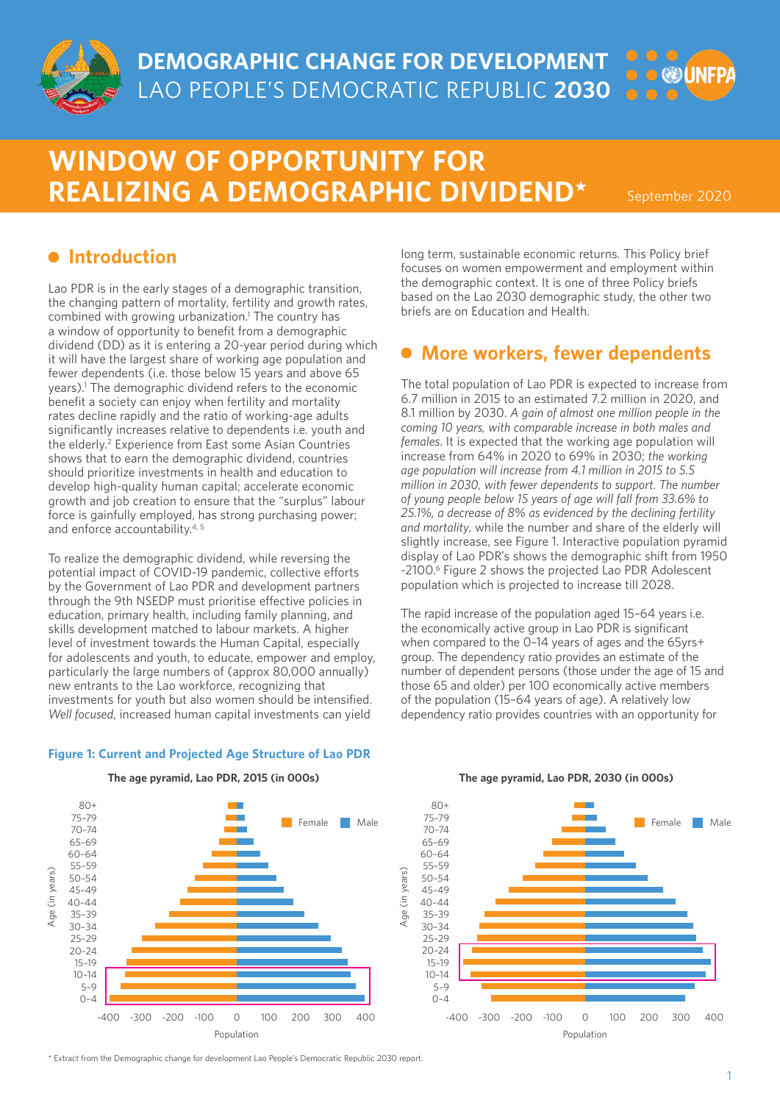

**DEMOGRAPHIC CHANGE FOR DEVELOPMENT** LAO PEOPLE'S DEMOCRATIC REPUBLIC **2030**

# **WINDOW OF OPPORTUNITY FOR REALIZING A DEMOGRAPHIC DIVIDEND\***

September 2020

**OUNFPA** 

## $\bullet$  Introduction

Lao PDR is in the early stages of a demographic transition, the changing pattern of mortality, fertility and growth rates, combined with growing urbanization.<sup>1</sup> The country has a window of opportunity to benefit from a demographic dividend (DD) as it is entering a 20-year period during which it will have the largest share of working age population and fewer dependents (i.e. those below 15 years and above 65 years).1 The demographic dividend refers to the economic benefit a society can enjoy when fertility and mortality rates decline rapidly and the ratio of working-age adults significantly increases relative to dependents i.e. youth and the elderly.2 Experience from East some Asian Countries shows that to earn the demographic dividend, countries should prioritize investments in health and education to develop high-quality human capital; accelerate economic growth and job creation to ensure that the "surplus" labour force is gainfully employed, has strong purchasing power; and enforce accountability.4, 5

To realize the demographic dividend, while reversing the potential impact of COVID-19 pandemic, collective efforts by the Government of Lao PDR and development partners through the 9th NSEDP must prioritise effective policies in education, primary health, including family planning, and skills development matched to labour markets. A higher level of investment towards the Human Capital, especially for adolescents and youth, to educate, empower and employ, particularly the large numbers of (approx 80,000 annually) new entrants to the Lao workforce, recognizing that investments for youth but also women should be intensified. *Well focused*, increased human capital investments can yield

**Figure 1: Current and Projected Age Structure of Lao PDR**

long term, sustainable economic returns. This Policy brief focuses on women empowerment and employment within the demographic context. It is one of three Policy briefs based on the Lao 2030 demographic study, the other two briefs are on Education and Health.

## **More workers, fewer dependents**

The total population of Lao PDR is expected to increase from 6.7 million in 2015 to an estimated 7.2 million in 2020, and 8.1 million by 2030. *A gain of almost one million people in the coming 10 years, with comparable increase in both males and females*. It is expected that the working age population will increase from 64% in 2020 to 69% in 2030; *the working age population will increase from 4.1 million in 2015 to 5.5 million in 2030, with fewer dependents to support. The number of young people below 15 years of age will fall from 33.6% to 25.1%, a decrease of 8% as evidenced by the declining fertility and mortality,* while the number and share of the elderly will slightly increase, see Figure 1. Interactive population pyramid display of Lao PDR's shows the demographic shift from 1950 -2100.6 Figure 2 shows the projected Lao PDR Adolescent population which is projected to increase till 2028.

The rapid increase of the population aged 15–64 years i.e. the economically active group in Lao PDR is significant when compared to the 0–14 years of ages and the 65yrs+ group. The dependency ratio provides an estimate of the number of dependent persons (those under the age of 15 and those 65 and older) per 100 economically active members of the population (15–64 years of age). A relatively low dependency ratio provides countries with an opportunity for





\* Extract from the Demographic change for development Lao People's Democratic Republic 2030 report.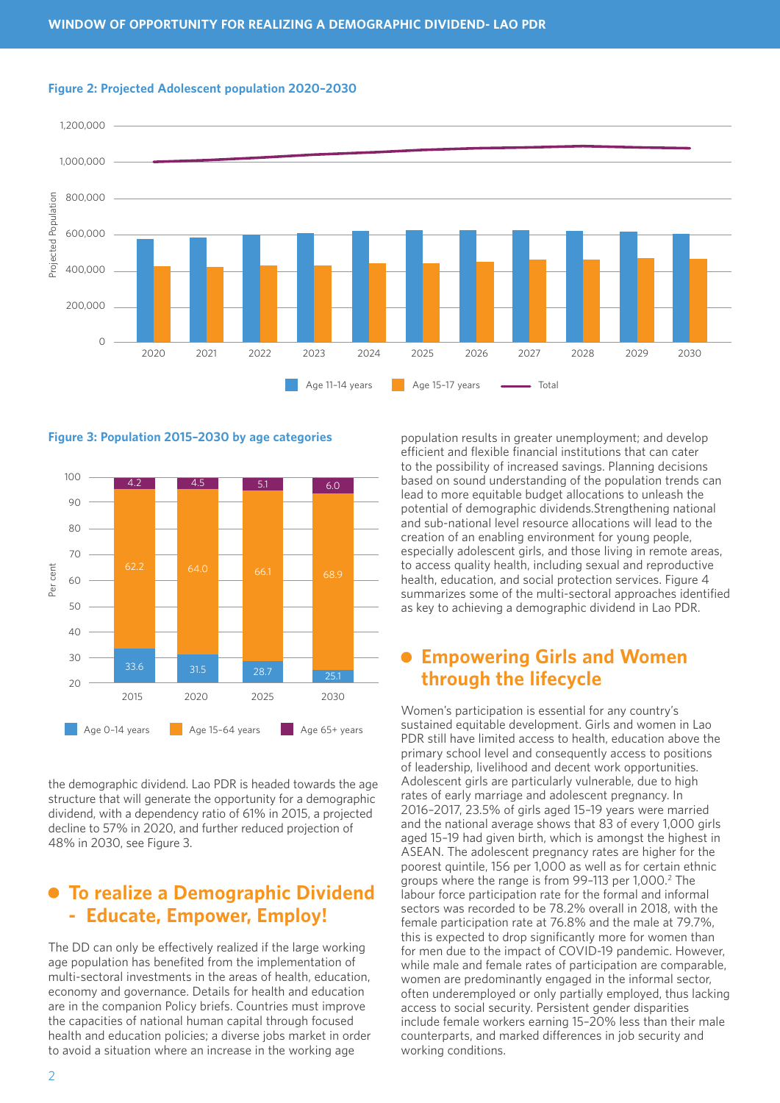





the demographic dividend. Lao PDR is headed towards the age structure that will generate the opportunity for a demographic dividend, with a dependency ratio of 61% in 2015, a projected decline to 57% in 2020, and further reduced projection of 48% in 2030, see Figure 3.

## **To realize a Demographic Dividend - Educate, Empower, Employ!**

The DD can only be effectively realized if the large working age population has benefited from the implementation of multi-sectoral investments in the areas of health, education, economy and governance. Details for health and education are in the companion Policy briefs. Countries must improve the capacities of national human capital through focused health and education policies; a diverse jobs market in order to avoid a situation where an increase in the working age

population results in greater unemployment; and develop efficient and flexible financial institutions that can cater to the possibility of increased savings. Planning decisions based on sound understanding of the population trends can lead to more equitable budget allocations to unleash the potential of demographic dividends.Strengthening national and sub-national level resource allocations will lead to the creation of an enabling environment for young people, especially adolescent girls, and those living in remote areas, to access quality health, including sexual and reproductive health, education, and social protection services. Figure 4 summarizes some of the multi-sectoral approaches identified as key to achieving a demographic dividend in Lao PDR.

## **Empowering Girls and Women through the lifecycle**

Women's participation is essential for any country's sustained equitable development. Girls and women in Lao PDR still have limited access to health, education above the primary school level and consequently access to positions of leadership, livelihood and decent work opportunities. Adolescent girls are particularly vulnerable, due to high rates of early marriage and adolescent pregnancy. In 2016–2017, 23.5% of girls aged 15–19 years were married and the national average shows that 83 of every 1,000 girls aged 15–19 had given birth, which is amongst the highest in ASEAN. The adolescent pregnancy rates are higher for the poorest quintile, 156 per 1,000 as well as for certain ethnic groups where the range is from 99-113 per 1,000.<sup>2</sup> The labour force participation rate for the formal and informal sectors was recorded to be 78.2% overall in 2018, with the female participation rate at 76.8% and the male at 79.7%, this is expected to drop significantly more for women than for men due to the impact of COVID-19 pandemic. However, while male and female rates of participation are comparable, women are predominantly engaged in the informal sector, often underemployed or only partially employed, thus lacking access to social security. Persistent gender disparities include female workers earning 15–20% less than their male counterparts, and marked differences in job security and working conditions.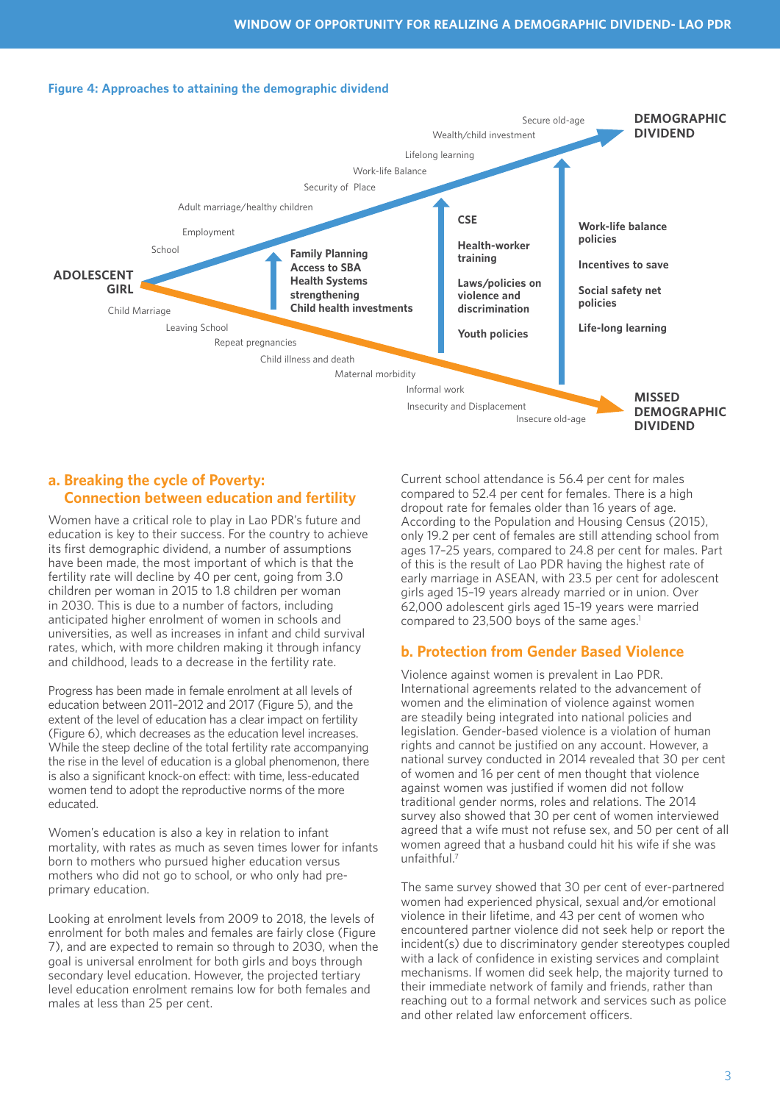#### **Figure 4: Approaches to attaining the demographic dividend**



#### **a. Breaking the cycle of Poverty: Connection between education and fertility**

Women have a critical role to play in Lao PDR's future and education is key to their success. For the country to achieve its first demographic dividend, a number of assumptions have been made, the most important of which is that the fertility rate will decline by 40 per cent, going from 3.0 children per woman in 2015 to 1.8 children per woman in 2030. This is due to a number of factors, including anticipated higher enrolment of women in schools and universities, as well as increases in infant and child survival rates, which, with more children making it through infancy and childhood, leads to a decrease in the fertility rate.

Progress has been made in female enrolment at all levels of education between 2011–2012 and 2017 (Figure 5), and the extent of the level of education has a clear impact on fertility (Figure 6), which decreases as the education level increases. While the steep decline of the total fertility rate accompanying the rise in the level of education is a global phenomenon, there is also a significant knock-on effect: with time, less-educated women tend to adopt the reproductive norms of the more educated.

Women's education is also a key in relation to infant mortality, with rates as much as seven times lower for infants born to mothers who pursued higher education versus mothers who did not go to school, or who only had preprimary education.

Looking at enrolment levels from 2009 to 2018, the levels of enrolment for both males and females are fairly close (Figure 7), and are expected to remain so through to 2030, when the goal is universal enrolment for both girls and boys through secondary level education. However, the projected tertiary level education enrolment remains low for both females and males at less than 25 per cent.

Current school attendance is 56.4 per cent for males compared to 52.4 per cent for females. There is a high dropout rate for females older than 16 years of age. According to the Population and Housing Census (2015), only 19.2 per cent of females are still attending school from ages 17–25 years, compared to 24.8 per cent for males. Part of this is the result of Lao PDR having the highest rate of early marriage in ASEAN, with 23.5 per cent for adolescent girls aged 15–19 years already married or in union. Over 62,000 adolescent girls aged 15–19 years were married compared to 23,500 boys of the same ages.<sup>1</sup>

#### **b. Protection from Gender Based Violence**

Violence against women is prevalent in Lao PDR. International agreements related to the advancement of women and the elimination of violence against women are steadily being integrated into national policies and legislation. Gender-based violence is a violation of human rights and cannot be justified on any account. However, a national survey conducted in 2014 revealed that 30 per cent of women and 16 per cent of men thought that violence against women was justified if women did not follow traditional gender norms, roles and relations. The 2014 survey also showed that 30 per cent of women interviewed agreed that a wife must not refuse sex, and 50 per cent of all women agreed that a husband could hit his wife if she was unfaithful.7

The same survey showed that 30 per cent of ever-partnered women had experienced physical, sexual and/or emotional violence in their lifetime, and 43 per cent of women who encountered partner violence did not seek help or report the incident(s) due to discriminatory gender stereotypes coupled with a lack of confidence in existing services and complaint mechanisms. If women did seek help, the majority turned to their immediate network of family and friends, rather than reaching out to a formal network and services such as police and other related law enforcement officers.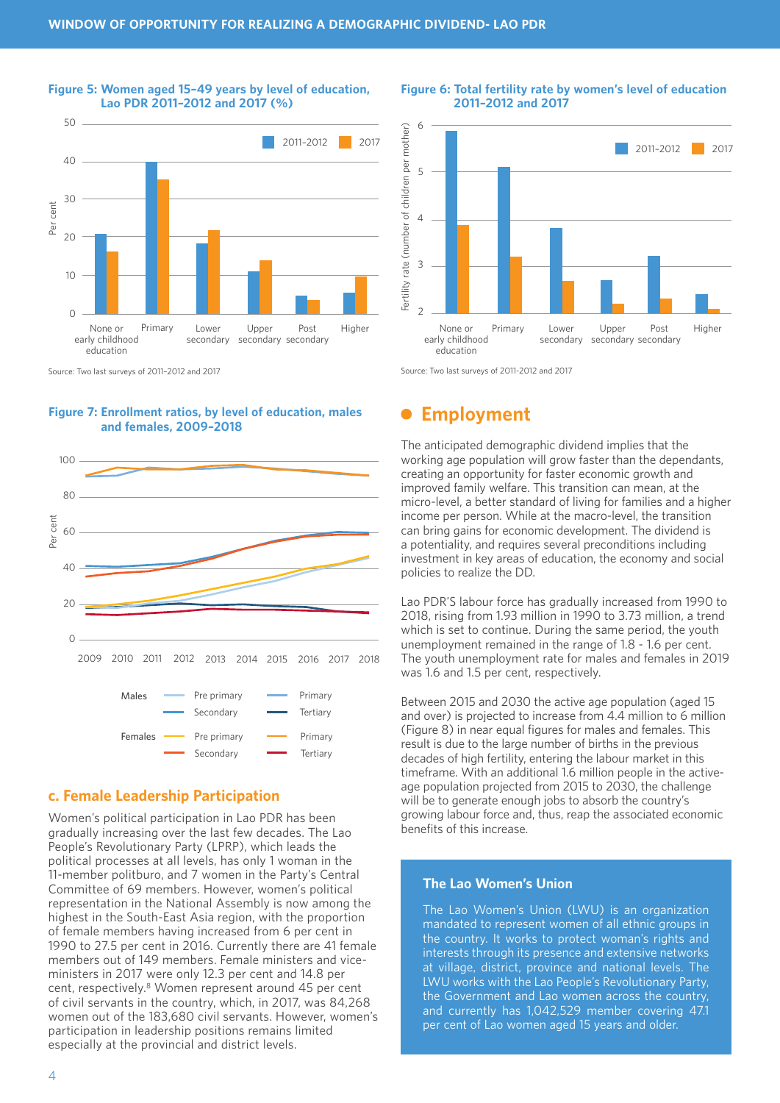

#### **Figure 5: Women aged 15–49 years by level of education, Lao PDR 2011–2012 and 2017 (%)**





### **c. Female Leadership Participation**

Women's political participation in Lao PDR has been gradually increasing over the last few decades. The Lao People's Revolutionary Party (LPRP), which leads the political processes at all levels, has only 1 woman in the 11-member politburo, and 7 women in the Party's Central Committee of 69 members. However, women's political representation in the National Assembly is now among the highest in the South-East Asia region, with the proportion of female members having increased from 6 per cent in 1990 to 27.5 per cent in 2016. Currently there are 41 female members out of 149 members. Female ministers and viceministers in 2017 were only 12.3 per cent and 14.8 per cent, respectively.8 Women represent around 45 per cent of civil servants in the country, which, in 2017, was 84,268 women out of the 183,680 civil servants. However, women's participation in leadership positions remains limited especially at the provincial and district levels.



#### **Figure 6: Total fertility rate by women's level of education 2011–2012 and 2017**

Source: Two last surveys of 2011-2012 and 2017 Source: Two last surveys of 2011-2012 and 2017

## **Employment**

The anticipated demographic dividend implies that the working age population will grow faster than the dependants, creating an opportunity for faster economic growth and improved family welfare. This transition can mean, at the micro-level, a better standard of living for families and a higher income per person. While at the macro-level, the transition can bring gains for economic development. The dividend is a potentiality, and requires several preconditions including investment in key areas of education, the economy and social policies to realize the DD.

Lao PDR'S labour force has gradually increased from 1990 to 2018, rising from 1.93 million in 1990 to 3.73 million, a trend which is set to continue. During the same period, the youth unemployment remained in the range of 1.8 - 1.6 per cent. The youth unemployment rate for males and females in 2019 was 1.6 and 1.5 per cent, respectively.

Between 2015 and 2030 the active age population (aged 15 and over) is projected to increase from 4.4 million to 6 million (Figure 8) in near equal figures for males and females. This result is due to the large number of births in the previous decades of high fertility, entering the labour market in this timeframe. With an additional 1.6 million people in the activeage population projected from 2015 to 2030, the challenge will be to generate enough jobs to absorb the country's growing labour force and, thus, reap the associated economic benefits of this increase.

#### **The Lao Women's Union**

The Lao Women's Union (LWU) is an organization mandated to represent women of all ethnic groups in the country. It works to protect woman's rights and interests through its presence and extensive networks at village, district, province and national levels. The LWU works with the Lao People's Revolutionary Party, the Government and Lao women across the country, and currently has 1,042,529 member covering 47.1 per cent of Lao women aged 15 years and older.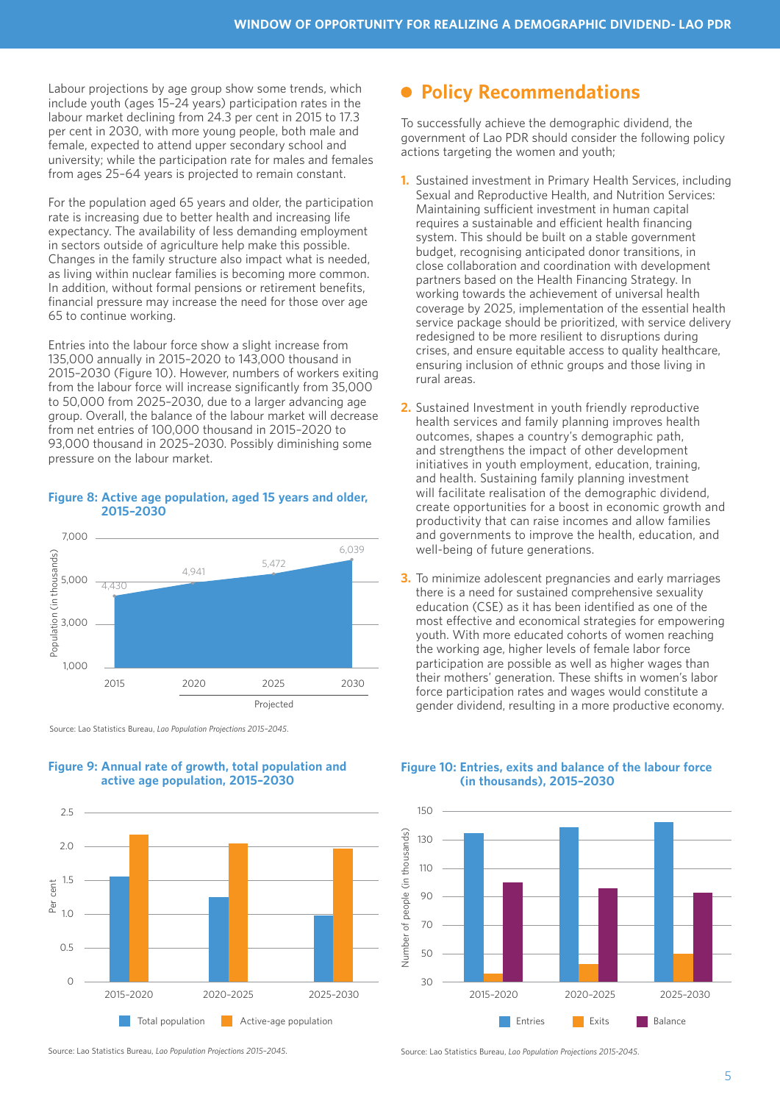Labour projections by age group show some trends, which include youth (ages 15–24 years) participation rates in the labour market declining from 24.3 per cent in 2015 to 17.3 per cent in 2030, with more young people, both male and female, expected to attend upper secondary school and university; while the participation rate for males and females from ages 25–64 years is projected to remain constant.

For the population aged 65 years and older, the participation rate is increasing due to better health and increasing life expectancy. The availability of less demanding employment in sectors outside of agriculture help make this possible. Changes in the family structure also impact what is needed, as living within nuclear families is becoming more common. In addition, without formal pensions or retirement benefits, financial pressure may increase the need for those over age 65 to continue working.

Entries into the labour force show a slight increase from 135,000 annually in 2015–2020 to 143,000 thousand in 2015–2030 (Figure 10). However, numbers of workers exiting from the labour force will increase significantly from 35,000 to 50,000 from 2025–2030, due to a larger advancing age group. Overall, the balance of the labour market will decrease from net entries of 100,000 thousand in 2015–2020 to 93,000 thousand in 2025–2030. Possibly diminishing some pressure on the labour market.

#### **Figure 8: Active age population, aged 15 years and older, 2015–2030**





#### **Figure 9: Annual rate of growth, total population and active age population, 2015–2030**

## **Policy Recommendations**

To successfully achieve the demographic dividend, the government of Lao PDR should consider the following policy actions targeting the women and youth;

- **1.** Sustained investment in Primary Health Services, including Sexual and Reproductive Health, and Nutrition Services: Maintaining sufficient investment in human capital requires a sustainable and efficient health financing system. This should be built on a stable government budget, recognising anticipated donor transitions, in close collaboration and coordination with development partners based on the Health Financing Strategy. In working towards the achievement of universal health coverage by 2025, implementation of the essential health service package should be prioritized, with service delivery redesigned to be more resilient to disruptions during crises, and ensure equitable access to quality healthcare, ensuring inclusion of ethnic groups and those living in rural areas.
- **2.** Sustained Investment in youth friendly reproductive health services and family planning improves health outcomes, shapes a country's demographic path, and strengthens the impact of other development initiatives in youth employment, education, training, and health. Sustaining family planning investment will facilitate realisation of the demographic dividend, create opportunities for a boost in economic growth and productivity that can raise incomes and allow families and governments to improve the health, education, and well-being of future generations.
- **3.** To minimize adolescent pregnancies and early marriages there is a need for sustained comprehensive sexuality education (CSE) as it has been identified as one of the most effective and economical strategies for empowering youth. With more educated cohorts of women reaching the working age, higher levels of female labor force participation are possible as well as higher wages than their mothers' generation. These shifts in women's labor force participation rates and wages would constitute a gender dividend, resulting in a more productive economy.

#### **Figure 10: Entries, exits and balance of the labour force (in thousands), 2015–2030**



Source: Lao Statistics Bureau, *Lao Population Projections 2015-2045*.